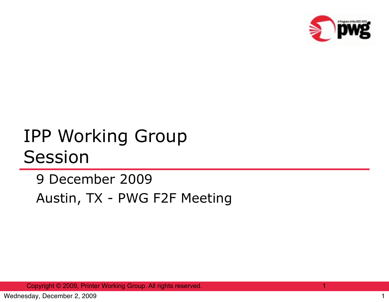

## IPP Working Group Session

## 9 December 2009 Austin, TX - PWG F2F Meeting

Copyright © 2009, Printer Working Group. All rights reserved. 1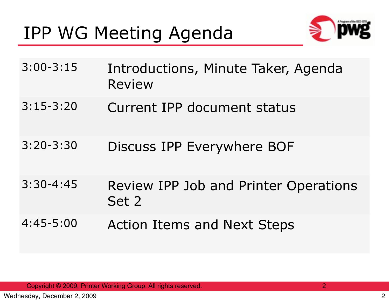## IPP WG Meeting Agenda



| $3:00 - 3:15$ | Introductions, Minute Taker, Agenda<br><b>Review</b>  |
|---------------|-------------------------------------------------------|
| $3:15-3:20$   | Current IPP document status                           |
| $3:20 - 3:30$ | Discuss IPP Everywhere BOF                            |
| $3:30 - 4:45$ | <b>Review IPP Job and Printer Operations</b><br>Set 2 |
| $4:45 - 5:00$ | <b>Action Items and Next Steps</b>                    |

Copyright © 2009, Printer Working Group. All rights reserved. 2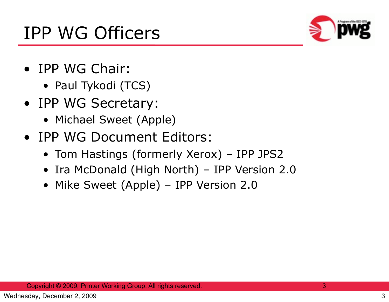

- IPP WG Chair:
	- Paul Tykodi (TCS)
- IPP WG Secretary:
	- Michael Sweet (Apple)
- IPP WG Document Editors:
	- Tom Hastings (formerly Xerox) IPP JPS2
	- Ira McDonald (High North) IPP Version 2.0
	- Mike Sweet (Apple) IPP Version 2.0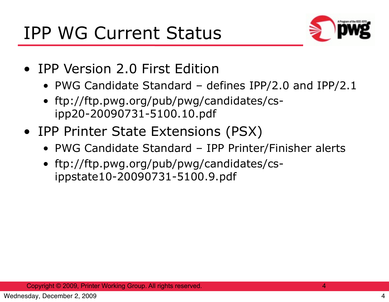

- IPP Version 2.0 First Edition
	- PWG Candidate Standard defines IPP/2.0 and IPP/2.1
	- ftp://ftp.pwg.org/pub/pwg/candidates/csipp20-20090731-5100.10.pdf
- IPP Printer State Extensions (PSX)
	- PWG Candidate Standard IPP Printer/Finisher alerts
	- ftp://ftp.pwg.org/pub/pwg/candidates/csippstate10-20090731-5100.9.pdf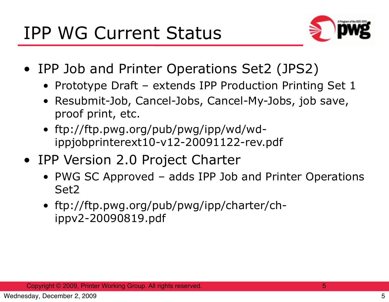

- IPP Job and Printer Operations Set2 (JPS2)
	- Prototype Draft extends IPP Production Printing Set 1
	- Resubmit-Job, Cancel-Jobs, Cancel-My-Jobs, job save, proof print, etc.
	- ftp://ftp.pwg.org/pub/pwg/ipp/wd/wdippjobprinterext10-v12-20091122-rev.pdf
- IPP Version 2.0 Project Charter
	- PWG SC Approved adds IPP Job and Printer Operations Set2
	- ftp://ftp.pwg.org/pub/pwg/ipp/charter/chippv2-20090819.pdf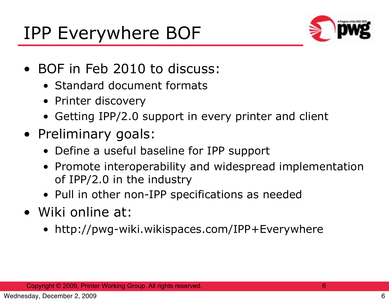

- BOF in Feb 2010 to discuss:
	- Standard document formats
	- Printer discovery
	- Getting IPP/2.0 support in every printer and client
- Preliminary goals:
	- Define a useful baseline for IPP support
	- Promote interoperability and widespread implementation of IPP/2.0 in the industry
	- Pull in other non-IPP specifications as needed
- Wiki online at:
	- http://pwg-wiki.wikispaces.com/IPP+Everywhere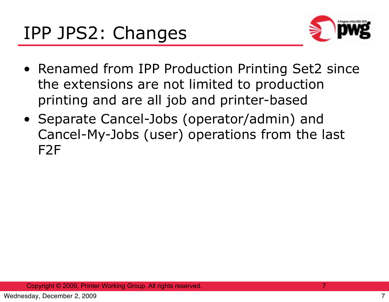

- Renamed from IPP Production Printing Set2 since the extensions are not limited to production printing and are all job and printer-based
- Separate Cancel-Jobs (operator/admin) and Cancel-My-Jobs (user) operations from the last F2F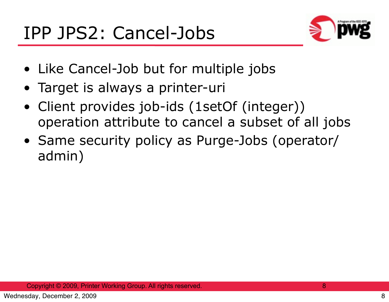

- Like Cancel-Job but for multiple jobs
- Target is always a printer-uri
- Client provides job-ids (1setOf (integer)) operation attribute to cancel a subset of all jobs
- Same security policy as Purge-Jobs (operator/ admin)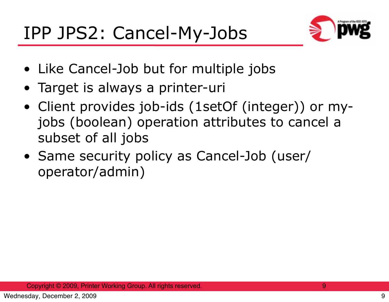

- Like Cancel-Job but for multiple jobs
- Target is always a printer-uri
- Client provides job-ids (1setOf (integer)) or myjobs (boolean) operation attributes to cancel a subset of all jobs
- Same security policy as Cancel-Job (user/ operator/admin)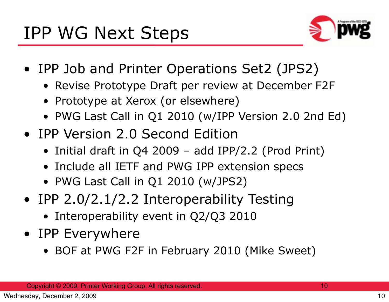

- IPP Job and Printer Operations Set2 (JPS2)
	- Revise Prototype Draft per review at December F2F
	- Prototype at Xerox (or elsewhere)
	- PWG Last Call in Q1 2010 (w/IPP Version 2.0 2nd Ed)
- IPP Version 2.0 Second Edition
	- Initial draft in Q4 2009 add IPP/2.2 (Prod Print)
	- Include all IETF and PWG IPP extension specs
	- PWG Last Call in Q1 2010 (w/JPS2)
- IPP 2.0/2.1/2.2 Interoperability Testing
	- Interoperability event in Q2/Q3 2010
- IPP Everywhere
	- BOF at PWG F2F in February 2010 (Mike Sweet)